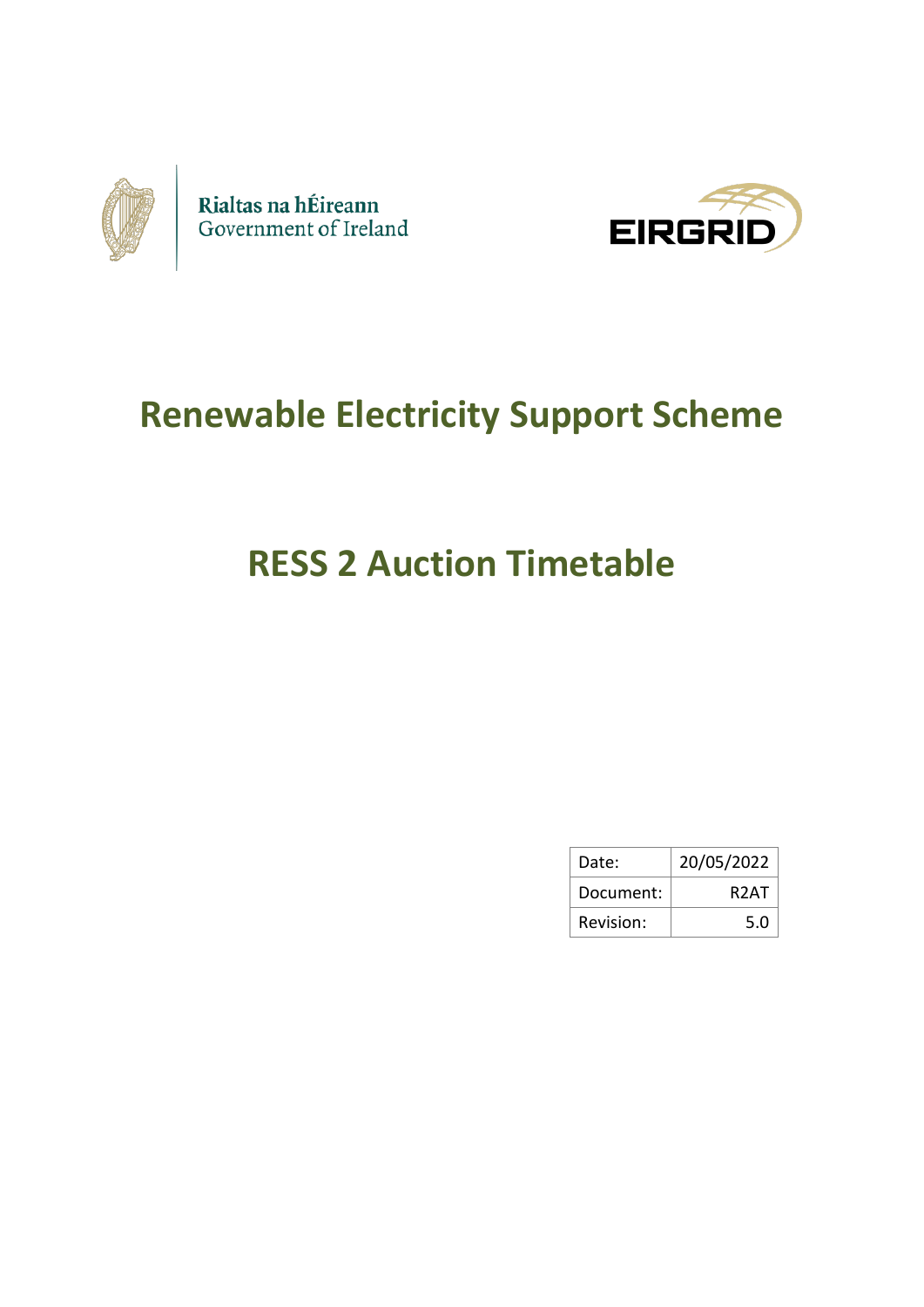



# **Renewable Electricity Support Scheme**

# **RESS 2 Auction Timetable**

| Date:     | 20/05/2022 |
|-----------|------------|
| Document: | R2AT       |
| Revision: | 5.0        |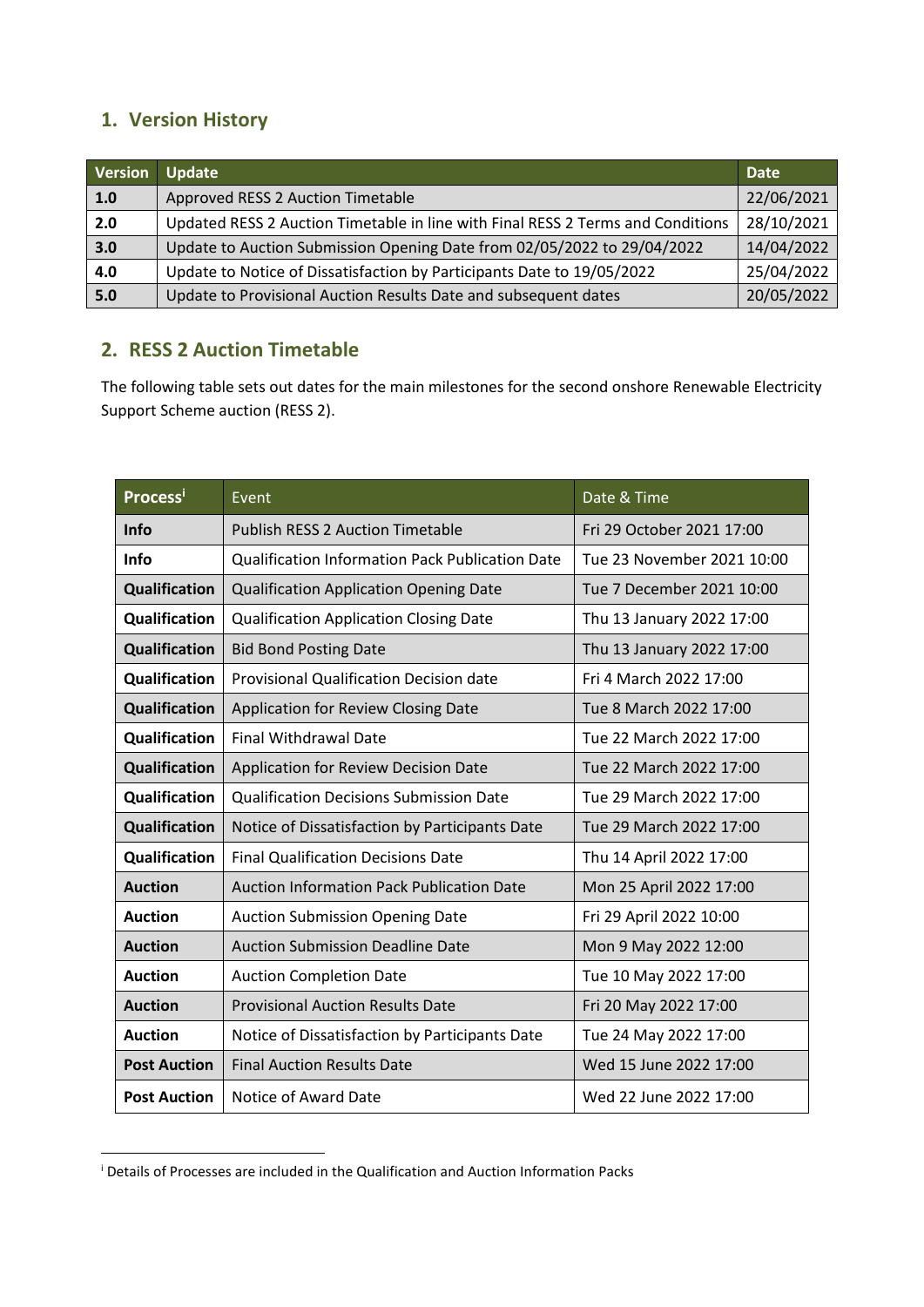## **1. Version History**

| <b>Version</b> | Update                                                                          | <b>Date</b> |
|----------------|---------------------------------------------------------------------------------|-------------|
| 1.0            | Approved RESS 2 Auction Timetable                                               | 22/06/2021  |
| 2.0            | Updated RESS 2 Auction Timetable in line with Final RESS 2 Terms and Conditions | 28/10/2021  |
| 3.0            | Update to Auction Submission Opening Date from 02/05/2022 to 29/04/2022         | 14/04/2022  |
| 4.0            | Update to Notice of Dissatisfaction by Participants Date to 19/05/2022          | 25/04/2022  |
| 5.0            | Update to Provisional Auction Results Date and subsequent dates                 | 20/05/2022  |

## **2. RESS 2 Auction Timetable**

The following table sets out dates for the main milestones for the second onshore Renewable Electricity Support Scheme auction (RESS 2).

| Processi             | Event                                            | Date & Time                |
|----------------------|--------------------------------------------------|----------------------------|
| Info                 | <b>Publish RESS 2 Auction Timetable</b>          | Fri 29 October 2021 17:00  |
| <b>Info</b>          | Qualification Information Pack Publication Date  | Tue 23 November 2021 10:00 |
| Qualification        | <b>Qualification Application Opening Date</b>    | Tue 7 December 2021 10:00  |
| Qualification        | <b>Qualification Application Closing Date</b>    | Thu 13 January 2022 17:00  |
| Qualification        | <b>Bid Bond Posting Date</b>                     | Thu 13 January 2022 17:00  |
| Qualification        | <b>Provisional Qualification Decision date</b>   | Fri 4 March 2022 17:00     |
| <b>Qualification</b> | Application for Review Closing Date              | Tue 8 March 2022 17:00     |
| Qualification        | <b>Final Withdrawal Date</b>                     | Tue 22 March 2022 17:00    |
| <b>Qualification</b> | Application for Review Decision Date             | Tue 22 March 2022 17:00    |
| Qualification        | <b>Qualification Decisions Submission Date</b>   | Tue 29 March 2022 17:00    |
| Qualification        | Notice of Dissatisfaction by Participants Date   | Tue 29 March 2022 17:00    |
| Qualification        | <b>Final Qualification Decisions Date</b>        | Thu 14 April 2022 17:00    |
| <b>Auction</b>       | <b>Auction Information Pack Publication Date</b> | Mon 25 April 2022 17:00    |
| <b>Auction</b>       | <b>Auction Submission Opening Date</b>           | Fri 29 April 2022 10:00    |
| <b>Auction</b>       | <b>Auction Submission Deadline Date</b>          | Mon 9 May 2022 12:00       |
| <b>Auction</b>       | <b>Auction Completion Date</b>                   | Tue 10 May 2022 17:00      |
| <b>Auction</b>       | <b>Provisional Auction Results Date</b>          | Fri 20 May 2022 17:00      |
| <b>Auction</b>       | Notice of Dissatisfaction by Participants Date   | Tue 24 May 2022 17:00      |
| <b>Post Auction</b>  | <b>Final Auction Results Date</b>                | Wed 15 June 2022 17:00     |
| <b>Post Auction</b>  | Notice of Award Date                             | Wed 22 June 2022 17:00     |

<sup>&</sup>lt;sup>i</sup> Details of Processes are included in the Qualification and Auction Information Packs